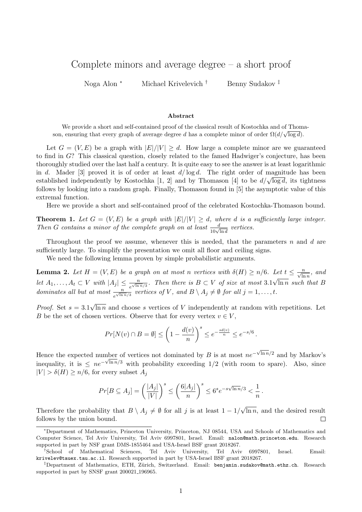## Complete minors and average degree – a short proof

Noga Alon <sup>∗</sup> Michael Krivelevich † Benny Sudakov ‡

## Abstract

We provide a short and self-contained proof of the classical result of Kostochka and of Thomawe provide a short and sen-contained proof of the classical result of Rostochka and of Thom<br>son, ensuring that every graph of average degree d has a complete minor of order  $\Omega(d/\sqrt{\log d})$ .

Let  $G = (V, E)$  be a graph with  $|E|/|V| \ge d$ . How large a complete minor are we guaranteed to find in G? This classical question, closely related to the famed Hadwiger's conjecture, has been thoroughly studied over the last half a century. It is quite easy to see the answer is at least logarithmic in d. Mader [3] proved it is of order at least  $d/\log d$ . The right order of magnitude has been in a. Mader [5] proved it is of order at least  $a/\log a$ . The right order of magnitude has been<br>established independently by Kostochka [1, 2] and by Thomason [4] to be  $d/\sqrt{\log d}$ , its tightness follows by looking into a random graph. Finally, Thomason found in [5] the asymptotic value of this extremal function.

Here we provide a short and self-contained proof of the celebrated Kostochka-Thomason bound.

**Theorem 1.** Let  $G = (V, E)$  be a graph with  $|E|/|V| \ge d$ , where d is a sufficiently large integer. Then G contains a minor of the complete graph on at least  $\frac{d}{10\sqrt{\ln d}}$  vertices.

Throughout the proof we assume, whenever this is needed, that the parameters n and d are sufficiently large. To simplify the presentation we omit all floor and ceiling signs.

We need the following lemma proven by simple probabilistic arguments.

**Lemma 2.** Let  $H = (V, E)$  be a graph on at most n vertices with  $\delta(H) \ge n/6$ . Let  $t \le \frac{n}{\sqrt{\ln n}}$ , and let  $A_1, \ldots, A_t \subset V$  with  $|A_j| \leq \frac{n}{e^{\sqrt{\ln n}/3}}$ . Then there is  $B \subset V$  of size at most 3.1 √ ln n such that B dominates all but at most  $\frac{n}{e^{\sqrt{\ln n}/3}}$  vertices of V, and  $B \setminus A_j \neq \emptyset$  for all  $j = 1, ..., t$ .

*Proof.* Set  $s = 3.1$ √  $\ln n$  and choose s vertices of V independently at random with repetitions. Let B be the set of chosen vertices. Observe that for every vertex  $v \in V$ ,

$$
Pr[N(v) \cap B = \emptyset] \le \left(1 - \frac{d(v)}{n}\right)^s \le e^{-\frac{sd(v)}{n}} \le e^{-s/6}.
$$

Hence the expected number of vertices not dominated by B is at most  $ne^{-\sqrt{\ln n}/2}$  and by Markov's inequality, it is  $\leq ne^{-\sqrt{\ln n/3}}$  with probability exceeding 1/2 (with room to spare). Also, since  $|V| > \delta(H) \ge n/6$ , for every subset  $A_i$ 

$$
Pr[B \subseteq A_j] = \left(\frac{|A_j|}{|V|}\right)^s \le \left(\frac{6|A_j|}{n}\right)^s \le 6^s e^{-s\sqrt{\ln n}/3} < \frac{1}{n}.
$$

√ Therefore the probability that  $B \setminus A_j \neq \emptyset$  for all j is at least  $1 - 1/$ ln n, and the desired result follows by the union bound.  $\Box$ 

<sup>∗</sup>Department of Mathematics, Princeton University, Princeton, NJ 08544, USA and Schools of Mathematics and Computer Science, Tel Aviv University, Tel Aviv 6997801, Israel. Email: nalon@math.princeton.edu. Research supported in part by NSF grant DMS-1855464 and USA-Israel BSF grant 2018267.

<sup>†</sup>School of Mathematical Sciences, Tel Aviv University, Tel Aviv 6997801, Israel. Email: krivelev@tauex.tau.ac.il. Research supported in part by USA-Israel BSF grant 2018267.

<sup>&</sup>lt;sup>‡</sup>Department of Mathematics, ETH, Zürich, Switzerland. Email: benjamin.sudakov@math.ethz.ch. Research supported in part by SNSF grant 200021<sub>-196965</sub>.